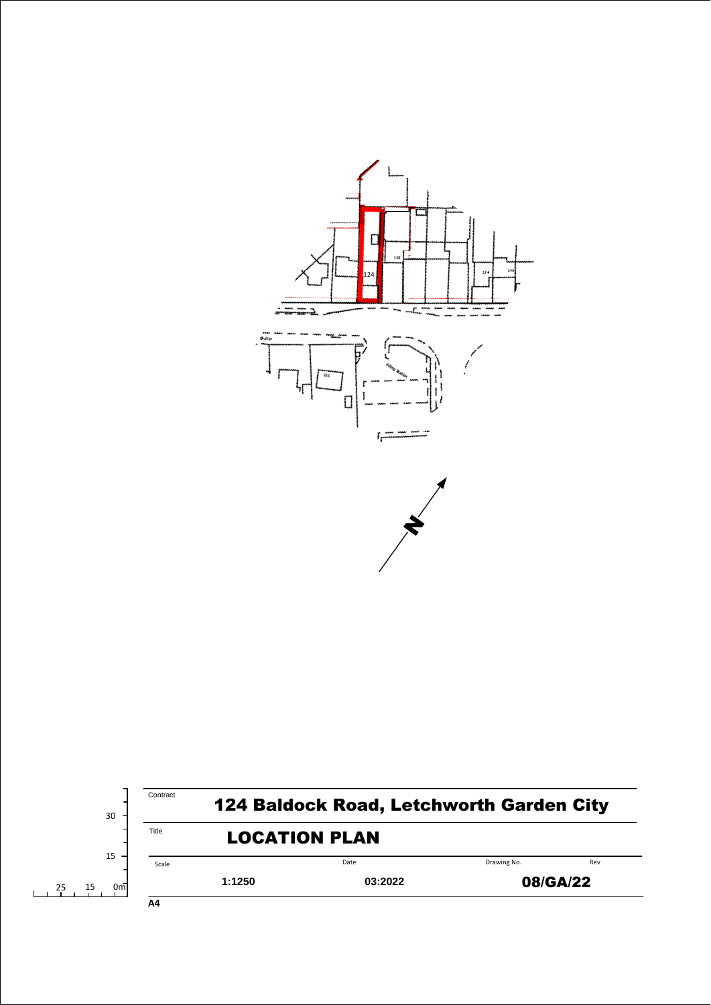

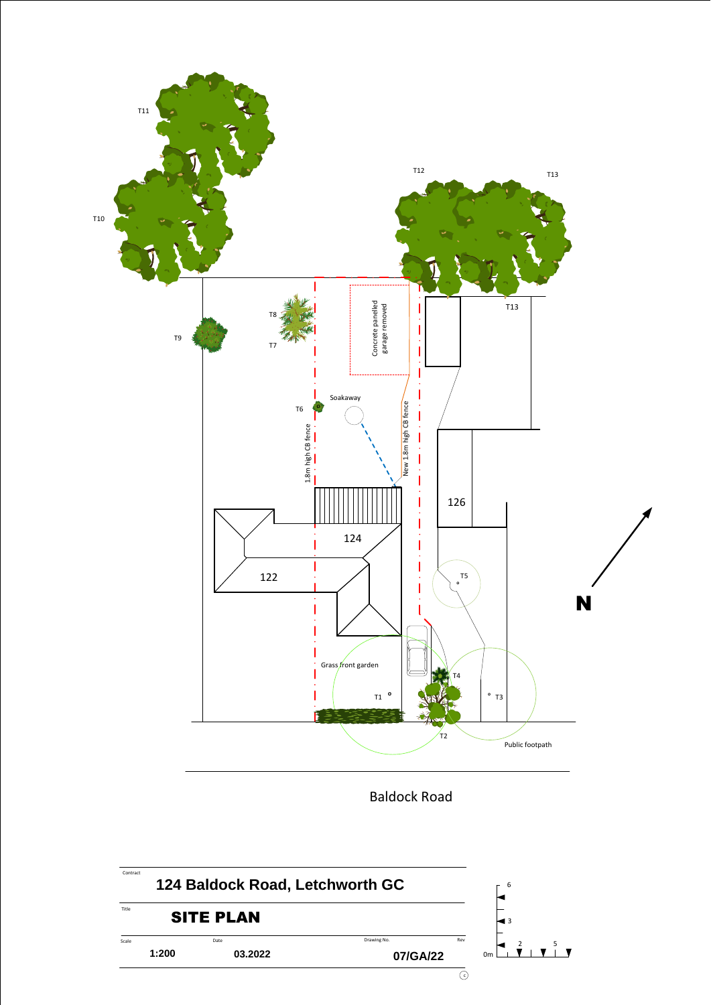

Baldock Road

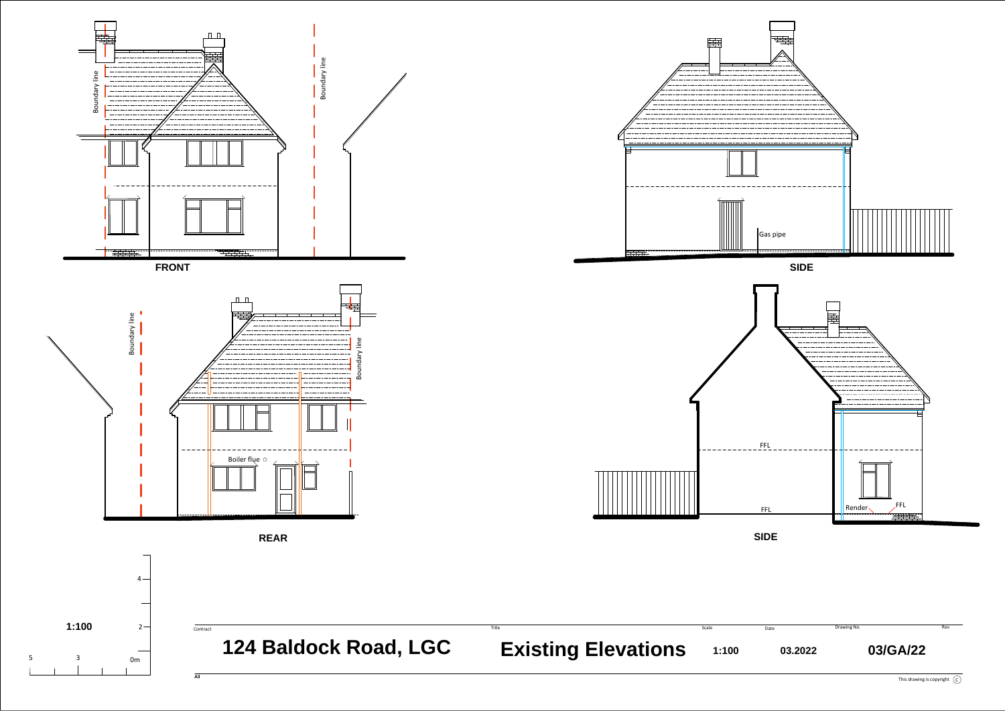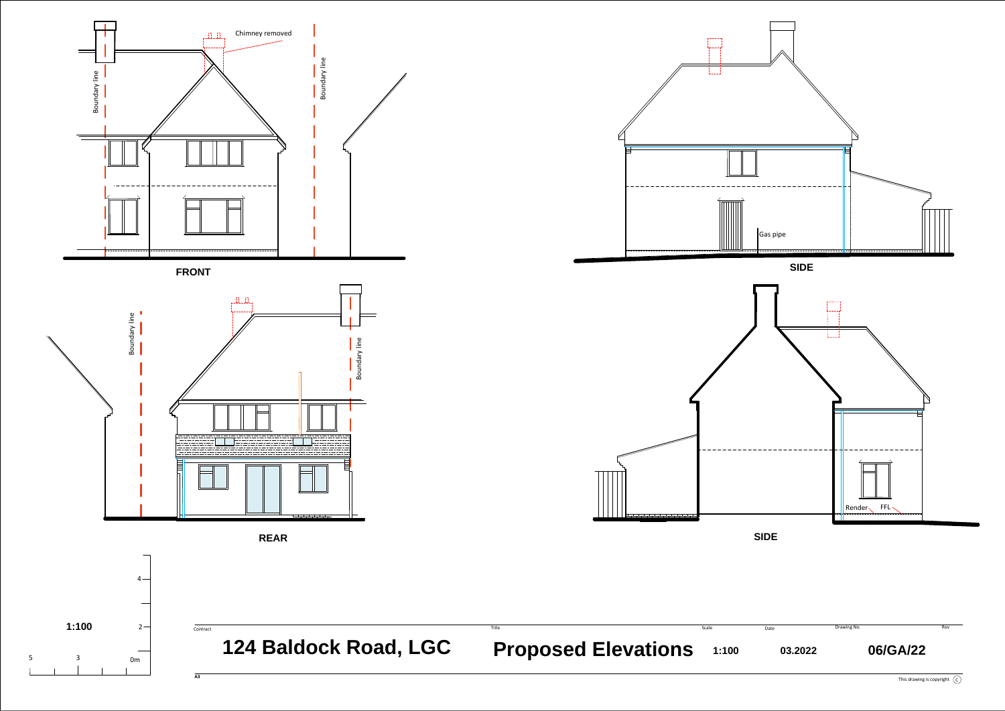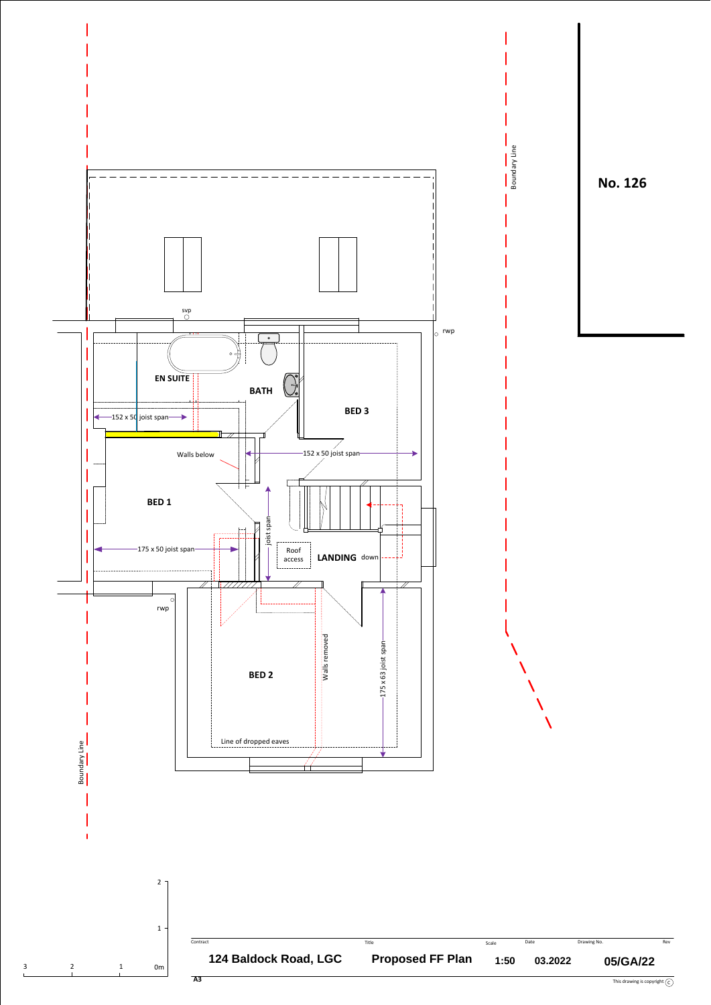





Boundary Line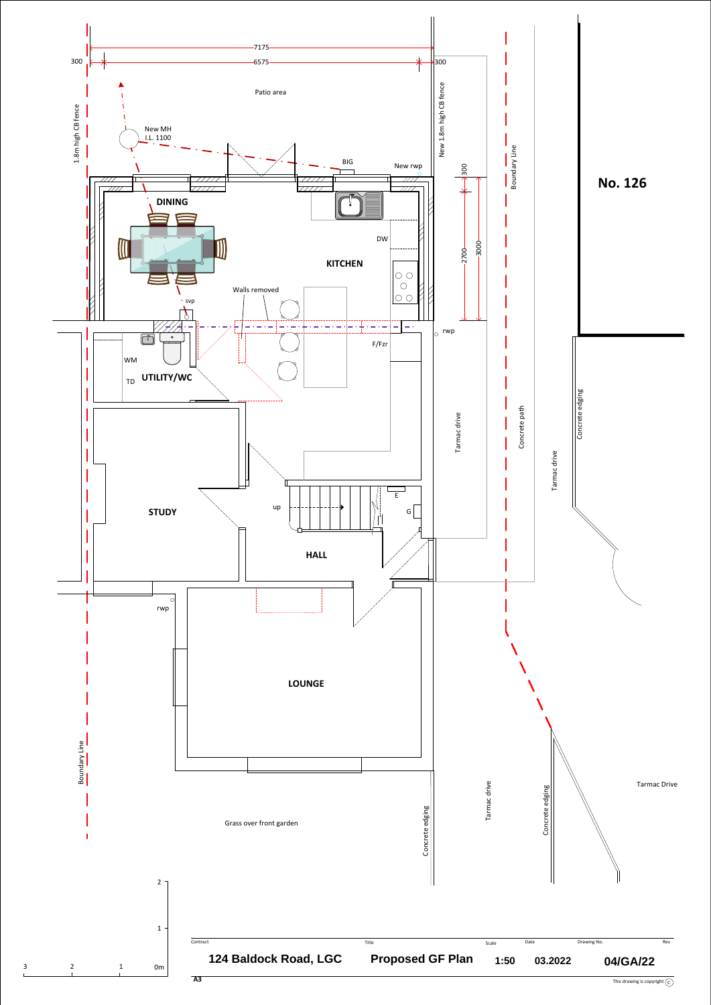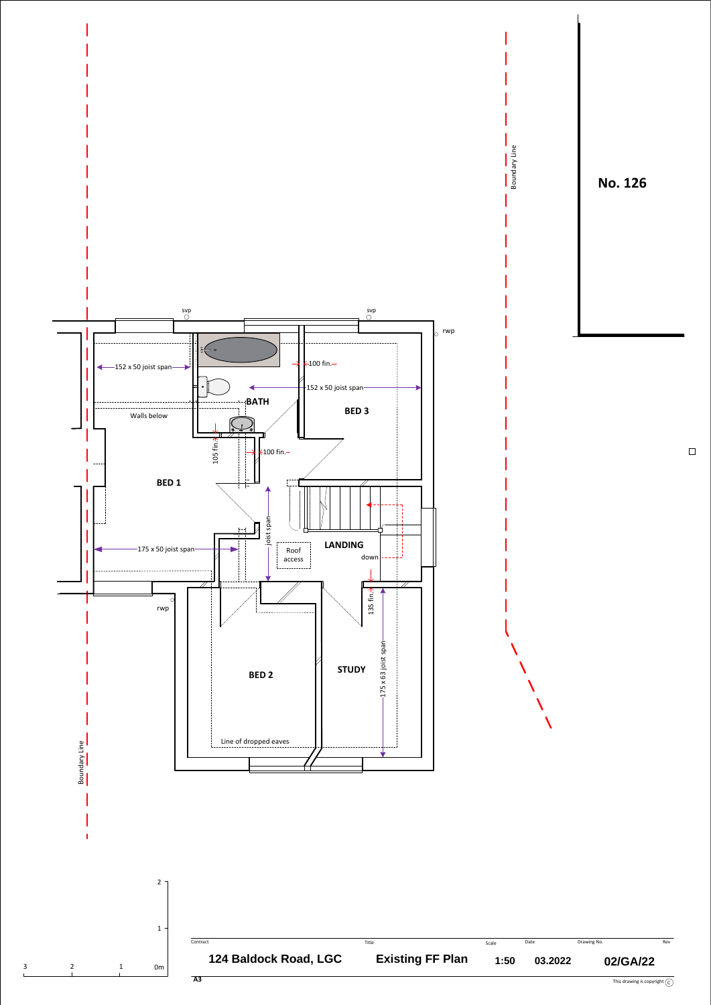

 $\hfill \square$